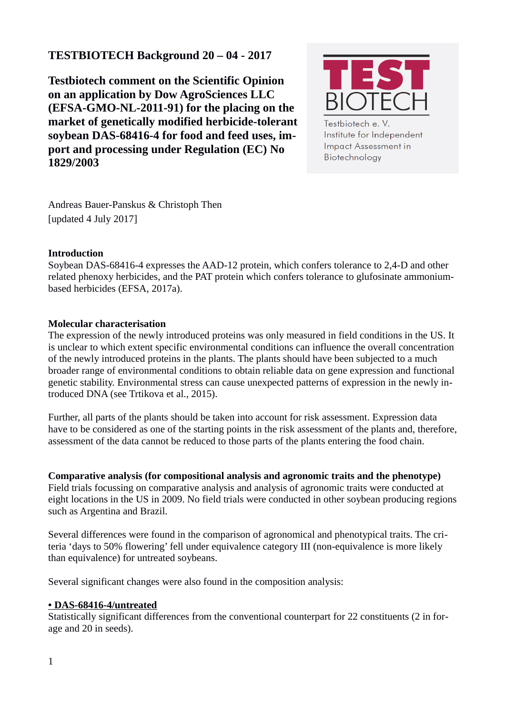# **TESTBIOTECH Background 20 – 04 - 2017**

**Testbiotech comment on the Scientific Opinion on an application by Dow AgroSciences LLC (EFSA-GMO-NL-2011-91) for the placing on the market of genetically modified herbicide-tolerant soybean DAS-68416-4 for food and feed uses, import and processing under Regulation (EC) No 1829/2003**



Testbiotech e. V. Institute for Independent **Impact Assessment in** Biotechnology

Andreas Bauer-Panskus & Christoph Then [updated 4 July 2017]

# **Introduction**

Soybean DAS-68416-4 expresses the AAD-12 protein, which confers tolerance to 2,4-D and other related phenoxy herbicides, and the PAT protein which confers tolerance to glufosinate ammoniumbased herbicides (EFSA, 2017a).

# **Molecular characterisation**

The expression of the newly introduced proteins was only measured in field conditions in the US. It is unclear to which extent specific environmental conditions can influence the overall concentration of the newly introduced proteins in the plants. The plants should have been subjected to a much broader range of environmental conditions to obtain reliable data on gene expression and functional genetic stability. Environmental stress can cause unexpected patterns of expression in the newly introduced DNA (see Trtikova et al., 2015).

Further, all parts of the plants should be taken into account for risk assessment. Expression data have to be considered as one of the starting points in the risk assessment of the plants and, therefore, assessment of the data cannot be reduced to those parts of the plants entering the food chain.

**Comparative analysis (for compositional analysis and agronomic traits and the phenotype)** Field trials focussing on comparative analysis and analysis of agronomic traits were conducted at eight locations in the US in 2009. No field trials were conducted in other soybean producing regions such as Argentina and Brazil.

Several differences were found in the comparison of agronomical and phenotypical traits. The criteria 'days to 50% flowering' fell under equivalence category III (non-equivalence is more likely than equivalence) for untreated soybeans.

Several significant changes were also found in the composition analysis:

#### **•DAS-68416-4/untreated**

Statistically significant differences from the conventional counterpart for 22 constituents (2 in forage and 20 in seeds).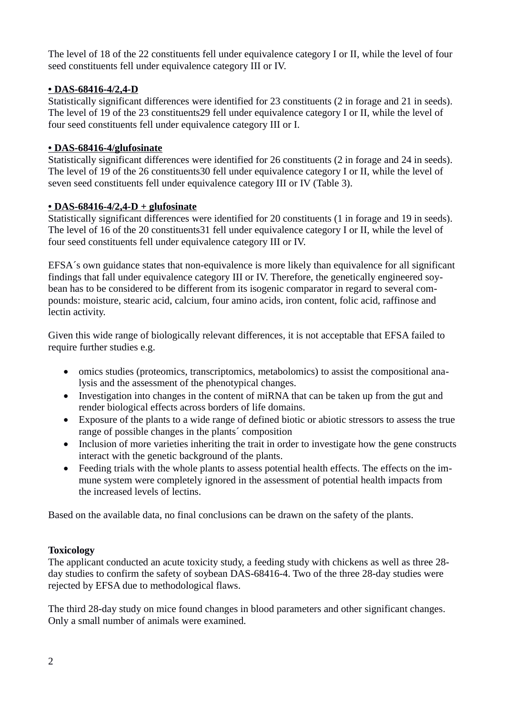The level of 18 of the 22 constituents fell under equivalence category I or II, while the level of four seed constituents fell under equivalence category III or IV.

# **•DAS-68416-4/2,4-D**

Statistically significant differences were identified for 23 constituents (2 in forage and 21 in seeds). The level of 19 of the 23 constituents29 fell under equivalence category I or II, while the level of four seed constituents fell under equivalence category III or I.

### **•DAS-68416-4/glufosinate**

Statistically significant differences were identified for 26 constituents (2 in forage and 24 in seeds). The level of 19 of the 26 constituents30 fell under equivalence category I or II, while the level of seven seed constituents fell under equivalence category III or IV (Table 3).

#### **•DAS-68416-4/2,4-D + glufosinate**

Statistically significant differences were identified for 20 constituents (1 in forage and 19 in seeds). The level of 16 of the 20 constituents31 fell under equivalence category I or II, while the level of four seed constituents fell under equivalence category III or IV.

EFSA´s own guidance states that non-equivalence is more likely than equivalence for all significant findings that fall under equivalence category III or IV. Therefore, the genetically engineered soybean has to be considered to be different from its isogenic comparator in regard to several compounds: moisture, stearic acid, calcium, four amino acids, iron content, folic acid, raffinose and lectin activity.

Given this wide range of biologically relevant differences, it is not acceptable that EFSA failed to require further studies e.g.

- omics studies (proteomics, transcriptomics, metabolomics) to assist the compositional analysis and the assessment of the phenotypical changes.
- Investigation into changes in the content of miRNA that can be taken up from the gut and render biological effects across borders of life domains.
- Exposure of the plants to a wide range of defined biotic or abiotic stressors to assess the true range of possible changes in the plants´ composition
- Inclusion of more varieties inheriting the trait in order to investigate how the gene constructs interact with the genetic background of the plants.
- Feeding trials with the whole plants to assess potential health effects. The effects on the immune system were completely ignored in the assessment of potential health impacts from the increased levels of lectins.

Based on the available data, no final conclusions can be drawn on the safety of the plants.

# **Toxicology**

The applicant conducted an acute toxicity study, a feeding study with chickens as well as three 28 day studies to confirm the safety of soybean DAS-68416-4. Two of the three 28-day studies were rejected by EFSA due to methodological flaws.

The third 28-day study on mice found changes in blood parameters and other significant changes. Only a small number of animals were examined.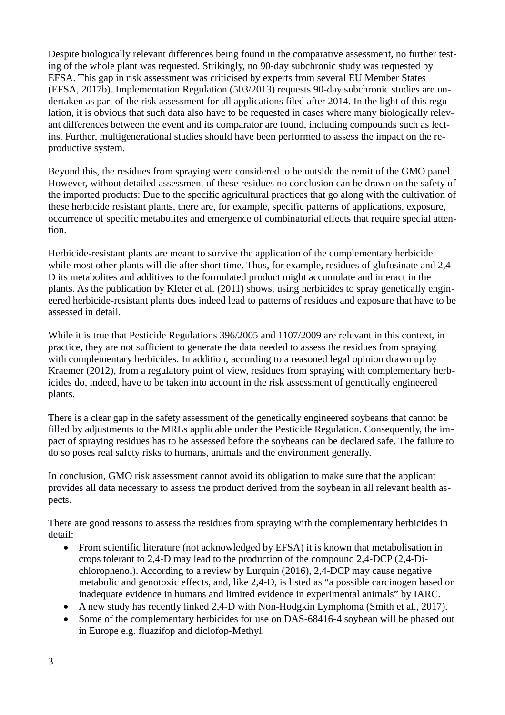Despite biologically relevant differences being found in the comparative assessment, no further testing of the whole plant was requested. Strikingly, no 90-day subchronic study was requested by EFSA. This gap in risk assessment was criticised by experts from several EU Member States (EFSA, 2017b). Implementation Regulation (503/2013) requests 90-day subchronic studies are undertaken as part of the risk assessment for all applications filed after 2014. In the light of this regulation, it is obvious that such data also have to be requested in cases where many biologically relevant differences between the event and its comparator are found, including compounds such as lectins. Further, multigenerational studies should have been performed to assess the impact on the reproductive system.

Beyond this, the residues from spraying were considered to be outside the remit of the GMO panel. However, without detailed assessment of these residues no conclusion can be drawn on the safety of the imported products: Due to the specific agricultural practices that go along with the cultivation of these herbicide resistant plants, there are, for example, specific patterns of applications, exposure, occurrence of specific metabolites and emergence of combinatorial effects that require special attention.

Herbicide-resistant plants are meant to survive the application of the complementary herbicide while most other plants will die after short time. Thus, for example, residues of glufosinate and 2,4- D its metabolites and additives to the formulated product might accumulate and interact in the plants. As the publication by Kleter et al. (2011) shows, using herbicides to spray genetically engineered herbicide-resistant plants does indeed lead to patterns of residues and exposure that have to be assessed in detail.

While it is true that Pesticide Regulations 396/2005 and 1107/2009 are relevant in this context, in practice, they are not sufficient to generate the data needed to assess the residues from spraying with complementary herbicides. In addition, according to a reasoned legal opinion drawn up by Kraemer (2012), from a regulatory point of view, residues from spraying with complementary herbicides do, indeed, have to be taken into account in the risk assessment of genetically engineered plants.

There is a clear gap in the safety assessment of the genetically engineered soybeans that cannot be filled by adjustments to the MRLs applicable under the Pesticide Regulation. Consequently, the impact of spraying residues has to be assessed before the soybeans can be declared safe. The failure to do so poses real safety risks to humans, animals and the environment generally.

In conclusion, GMO risk assessment cannot avoid its obligation to make sure that the applicant provides all data necessary to assess the product derived from the soybean in all relevant health aspects.

There are good reasons to assess the residues from spraying with the complementary herbicides in detail:

- From scientific literature (not acknowledged by EFSA) it is known that metabolisation in crops tolerant to 2,4-D may lead to the production of the compound 2,4-DCP (2,4-Dichlorophenol). According to a review by Lurquin (2016), 2,4-DCP may cause negative metabolic and genotoxic effects, and, like 2,4-D, is listed as "a possible carcinogen based on inadequate evidence in humans and limited evidence in experimental animals" by IARC.
- A new study has recently linked 2,4-D with Non-Hodgkin Lymphoma (Smith et al., 2017).
- Some of the complementary herbicides for use on DAS-68416-4 soybean will be phased out in Europe e.g. fluazifop and diclofop-Methyl.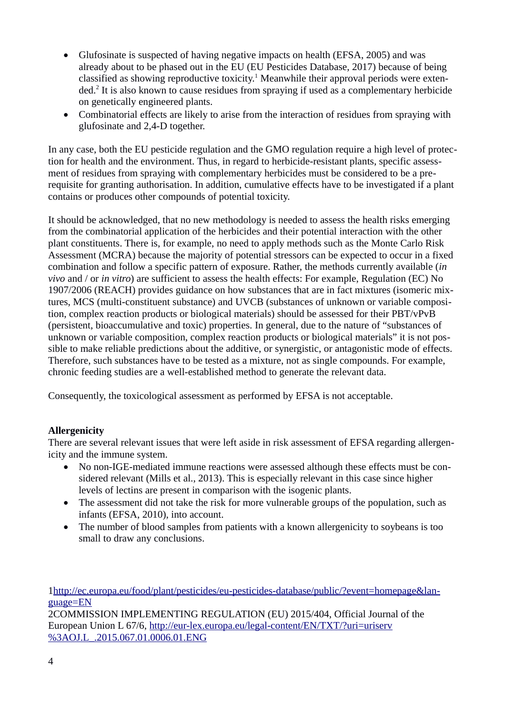- Glufosinate is suspected of having negative impacts on health (EFSA, 2005) and was already about to be phased out in the EU (EU Pesticides Database, 2017) because of being classified as showing reproductive toxicity.<sup>[1](#page-3-0)</sup> Meanwhile their approval periods were exten-ded.<sup>[2](#page-3-1)</sup> It is also known to cause residues from spraying if used as a complementary herbicide on genetically engineered plants.
- Combinatorial effects are likely to arise from the interaction of residues from spraying with glufosinate and 2,4-D together.

In any case, both the EU pesticide regulation and the GMO regulation require a high level of protection for health and the environment. Thus, in regard to herbicide-resistant plants, specific assessment of residues from spraying with complementary herbicides must be considered to be a prerequisite for granting authorisation. In addition, cumulative effects have to be investigated if a plant contains or produces other compounds of potential toxicity.

It should be acknowledged, that no new methodology is needed to assess the health risks emerging from the combinatorial application of the herbicides and their potential interaction with the other plant constituents. There is, for example, no need to apply methods such as the Monte Carlo Risk Assessment (MCRA) because the majority of potential stressors can be expected to occur in a fixed combination and follow a specific pattern of exposure. Rather, the methods currently available (*in vivo* and / or *in vitro*) are sufficient to assess the health effects: For example, Regulation (EC) No 1907/2006 (REACH) provides guidance on how substances that are in fact mixtures (isomeric mixtures, MCS (multi-constituent substance) and UVCB (substances of unknown or variable composition, complex reaction products or biological materials) should be assessed for their PBT/vPvB (persistent, bioaccumulative and toxic) properties. In general, due to the nature of "substances of unknown or variable composition, complex reaction products or biological materials" it is not possible to make reliable predictions about the additive, or synergistic, or antagonistic mode of effects. Therefore, such substances have to be tested as a mixture, not as single compounds. For example, chronic feeding studies are a well-established method to generate the relevant data.

Consequently, the toxicological assessment as performed by EFSA is not acceptable.

#### **Allergenicity**

There are several relevant issues that were left aside in risk assessment of EFSA regarding allergenicity and the immune system.

- No non-IGE-mediated immune reactions were assessed although these effects must be considered relevant (Mills et al., 2013). This is especially relevant in this case since higher levels of lectins are present in comparison with the isogenic plants.
- The assessment did not take the risk for more vulnerable groups of the population, such as infants (EFSA, 2010), into account.
- The number of blood samples from patients with a known allergenicity to soybeans is too small to draw any conclusions.

<span id="page-3-0"></span>[1http://ec.europa.eu/food/plant/pesticides/eu-pesticides-database/public/?event=homepage&lan](http://ec.europa.eu/food/plant/pesticides/eu-pesticides-database/public/?event=homepage&language=EN)[guage=EN](http://ec.europa.eu/food/plant/pesticides/eu-pesticides-database/public/?event=homepage&language=EN)

<span id="page-3-1"></span>2COMMISSION IMPLEMENTING REGULATION (EU) 2015/404, Official Journal of the European Union L 67/6, [http://eur-lex.europa.eu/legal-content/EN/TXT/?uri=uriserv](http://eur-lex.europa.eu/legal-content/EN/TXT/?uri=uriserv%3AOJ.L_.2015.067.01.0006.01.ENG) [%3AOJ.L\\_.2015.067.01.0006.01.ENG](http://eur-lex.europa.eu/legal-content/EN/TXT/?uri=uriserv%3AOJ.L_.2015.067.01.0006.01.ENG)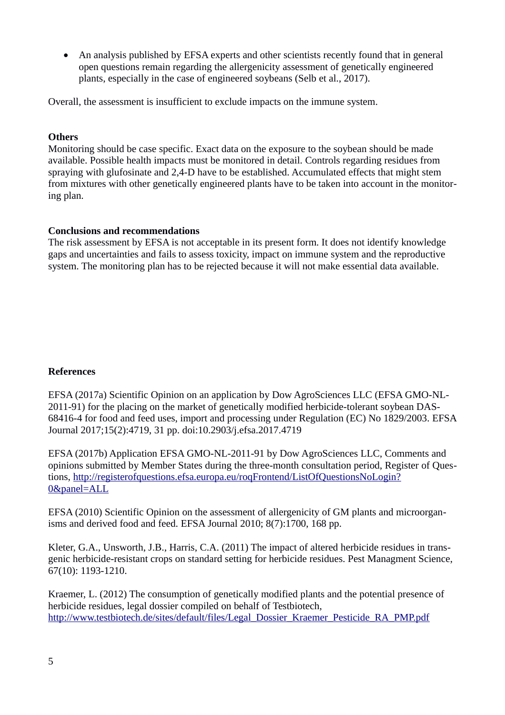An analysis published by EFSA experts and other scientists recently found that in general open questions remain regarding the allergenicity assessment of genetically engineered plants, especially in the case of engineered soybeans (Selb et al., 2017).

Overall, the assessment is insufficient to exclude impacts on the immune system.

#### **Others**

Monitoring should be case specific. Exact data on the exposure to the soybean should be made available. Possible health impacts must be monitored in detail. Controls regarding residues from spraying with glufosinate and 2,4-D have to be established. Accumulated effects that might stem from mixtures with other genetically engineered plants have to be taken into account in the monitoring plan.

#### **Conclusions and recommendations**

The risk assessment by EFSA is not acceptable in its present form. It does not identify knowledge gaps and uncertainties and fails to assess toxicity, impact on immune system and the reproductive system. The monitoring plan has to be rejected because it will not make essential data available.

#### **References**

EFSA (2017a) Scientific Opinion on an application by Dow AgroSciences LLC (EFSA GMO-NL-2011-91) for the placing on the market of genetically modified herbicide-tolerant soybean DAS-68416-4 for food and feed uses, import and processing under Regulation (EC) No 1829/2003. EFSA Journal 2017;15(2):4719, 31 pp. doi:10.2903/j.efsa.2017.4719

EFSA (2017b) Application EFSA GMO-NL-2011-91 by Dow AgroSciences LLC, Comments and opinions submitted by Member States during the three-month consultation period, Register of Questions, [http://registerofquestions.efsa.europa.eu/roqFrontend/ListOfQuestionsNoLogin?](http://registerofquestions.efsa.europa.eu/roqFrontend/ListOfQuestionsNoLogin?0&panel=ALL) [0&panel=ALL](http://registerofquestions.efsa.europa.eu/roqFrontend/ListOfQuestionsNoLogin?0&panel=ALL)

EFSA (2010) Scientific Opinion on the assessment of allergenicity of GM plants and microorganisms and derived food and feed. EFSA Journal 2010; 8(7):1700, 168 pp.

Kleter, G.A., Unsworth, J.B., Harris, C.A. (2011) The impact of altered herbicide residues in transgenic herbicide-resistant crops on standard setting for herbicide residues. Pest Managment Science, 67(10): 1193-1210.

Kraemer, L. (2012) The consumption of genetically modified plants and the potential presence of herbicide residues, legal dossier compiled on behalf of Testbiotech, [http://www.testbiotech.de/sites/default/files/Legal\\_Dossier\\_Kraemer\\_Pesticide\\_RA\\_PMP.pdf](http://www.testbiotech.de/sites/default/files/Legal_Dossier_Kraemer_Pesticide_RA_PMP.pdf)